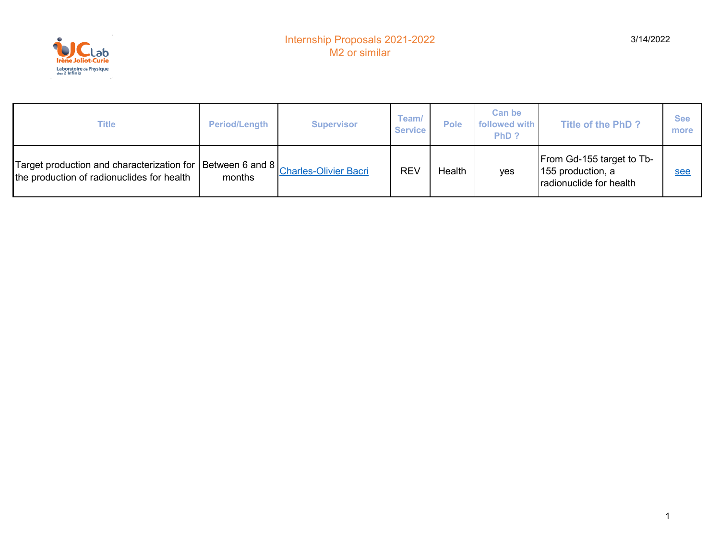

| Title                                                                                                                                                                                                   | <b>Period/Length</b> | <b>Supervisor</b> | Team/<br><b>Service</b> | <b>Pole</b>   | <b>Can be</b><br>followed with<br>PhD ? | Title of the PhD?                                                         | <b>See</b><br>more |
|---------------------------------------------------------------------------------------------------------------------------------------------------------------------------------------------------------|----------------------|-------------------|-------------------------|---------------|-----------------------------------------|---------------------------------------------------------------------------|--------------------|
| Target production and characterization for $\big \!\!$ Between 6 and 8 $\big \!\!\frac{\text{Charles-Olivier Bacri}}{\text{Charles-Olivier Bacri}}\!\!\!$<br>the production of radionuclides for health | months               |                   | <b>REV</b>              | <b>Health</b> | <b>ves</b>                              | From Gd-155 target to Tb-<br>155 production, a<br>radionuclide for health | see                |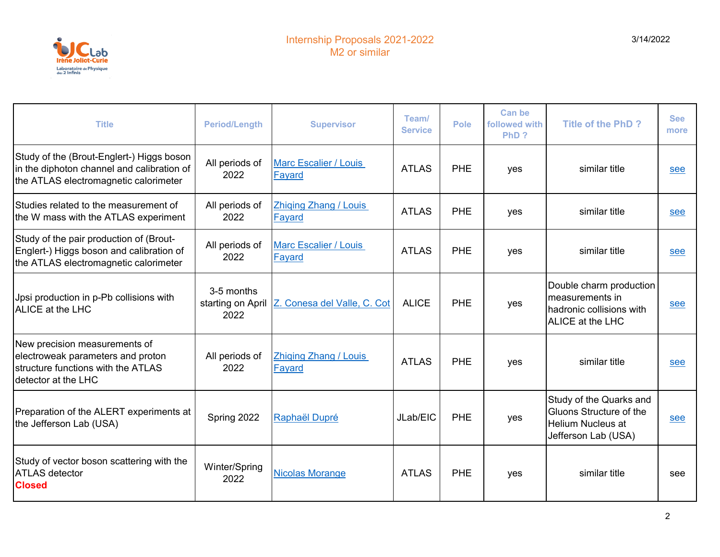

| <b>Title</b>                                                                                                                     | <b>Period/Length</b>                    | <b>Supervisor</b>                      | Team/<br><b>Service</b> | <b>Pole</b> | <b>Can be</b><br>followed with<br>PhD? | <b>Title of the PhD?</b>                                                                              | <b>See</b><br>more |
|----------------------------------------------------------------------------------------------------------------------------------|-----------------------------------------|----------------------------------------|-------------------------|-------------|----------------------------------------|-------------------------------------------------------------------------------------------------------|--------------------|
| Study of the (Brout-Englert-) Higgs boson<br>in the diphoton channel and calibration of<br>the ATLAS electromagnetic calorimeter | All periods of<br>2022                  | <b>Marc Escalier / Louis</b><br>Fayard | <b>ATLAS</b>            | PHE         | yes                                    | similar title                                                                                         | see                |
| Studies related to the measurement of<br>the W mass with the ATLAS experiment                                                    | All periods of<br>2022                  | <b>Zhiqing Zhang / Louis</b><br>Fayard | <b>ATLAS</b>            | PHE         | yes                                    | similar title                                                                                         | see                |
| Study of the pair production of (Brout-<br>Englert-) Higgs boson and calibration of<br>the ATLAS electromagnetic calorimeter     | All periods of<br>2022                  | <b>Marc Escalier / Louis</b><br>Fayard | <b>ATLAS</b>            | PHE         | yes                                    | similar title                                                                                         | see                |
| Jpsi production in p-Pb collisions with<br>ALICE at the LHC                                                                      | 3-5 months<br>starting on April<br>2022 | Z. Conesa del Valle, C. Cot            | <b>ALICE</b>            | PHE         | yes                                    | Double charm production<br>measurements in<br>hadronic collisions with<br>ALICE at the LHC            | see                |
| New precision measurements of<br>electroweak parameters and proton<br>structure functions with the ATLAS<br>detector at the LHC  | All periods of<br>2022                  | <b>Zhiqing Zhang / Louis</b><br>Fayard | <b>ATLAS</b>            | PHE         | yes                                    | similar title                                                                                         | see                |
| Preparation of the ALERT experiments at<br>the Jefferson Lab (USA)                                                               | Spring 2022                             | Raphaël Dupré                          | JLab/EIC                | PHE         | yes                                    | Study of the Quarks and<br>Gluons Structure of the<br><b>Helium Nucleus at</b><br>Jefferson Lab (USA) | see                |
| Study of vector boson scattering with the<br><b>ATLAS</b> detector<br><b>Closed</b>                                              | Winter/Spring<br>2022                   | <b>Nicolas Morange</b>                 | <b>ATLAS</b>            | <b>PHE</b>  | yes                                    | similar title                                                                                         | see                |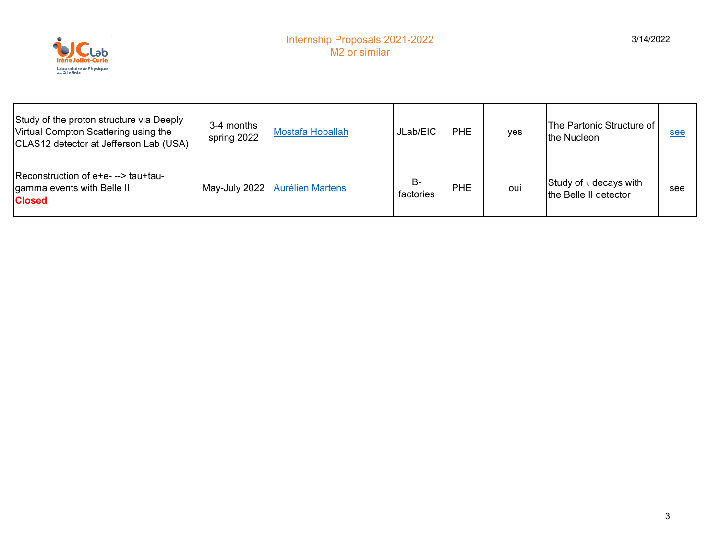

| Study of the proton structure via Deeply<br>Virtual Compton Scattering using the<br>CLAS12 detector at Jefferson Lab (USA) | 3-4 months<br>spring 2022 | <b>Mostafa Hoballah</b> | JLab/EIC        | <b>PHE</b> | yes | The Partonic Structure of<br>the Nucleon             | see |
|----------------------------------------------------------------------------------------------------------------------------|---------------------------|-------------------------|-----------------|------------|-----|------------------------------------------------------|-----|
| Reconstruction of e+e---> tau+tau-<br>gamma events with Belle II<br><b>Closed</b>                                          | May-July 2022             | <b>Aurélien Martens</b> | B-<br>factories | <b>PHE</b> | oui | Study of $\tau$ decays with<br>the Belle II detector | see |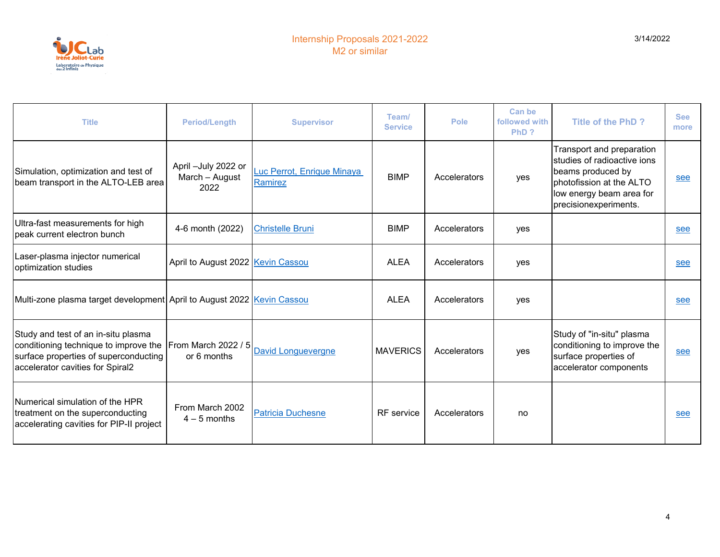

| <b>Title</b>                                                                                                                                              | <b>Period/Length</b>                          | <b>Supervisor</b>                            | Team/<br><b>Service</b> | <b>Pole</b>  | <b>Can be</b><br>followed with<br>PhD? | <b>Title of the PhD?</b>                                                                                                                                       | <b>See</b><br>more |
|-----------------------------------------------------------------------------------------------------------------------------------------------------------|-----------------------------------------------|----------------------------------------------|-------------------------|--------------|----------------------------------------|----------------------------------------------------------------------------------------------------------------------------------------------------------------|--------------------|
| Simulation, optimization and test of<br>beam transport in the ALTO-LEB area                                                                               | April -July 2022 or<br>March - August<br>2022 | Luc Perrot, Enrique Minaya<br><b>Ramirez</b> | <b>BIMP</b>             | Accelerators | yes                                    | Transport and preparation<br>studies of radioactive ions<br>beams produced by<br>photofission at the ALTO<br>low energy beam area for<br>precisionexperiments. | see                |
| Ultra-fast measurements for high<br>peak current electron bunch                                                                                           | 4-6 month (2022)                              | <b>Christelle Bruni</b>                      | <b>BIMP</b>             | Accelerators | yes                                    |                                                                                                                                                                | see                |
| Laser-plasma injector numerical<br>optimization studies                                                                                                   | April to August 2022 Kevin Cassou             |                                              | <b>ALEA</b>             | Accelerators | yes                                    |                                                                                                                                                                | see                |
| Multi-zone plasma target development April to August 2022 Kevin Cassou                                                                                    |                                               |                                              | <b>ALEA</b>             | Accelerators | yes                                    |                                                                                                                                                                | see                |
| Study and test of an in-situ plasma<br>conditioning technique to improve the<br>surface properties of superconducting<br>accelerator cavities for Spiral2 | From March 2022 / 5<br>or 6 months            | <b>David Longuevergne</b>                    | <b>MAVERICS</b>         | Accelerators | yes                                    | Study of "in-situ" plasma<br>conditioning to improve the<br>surface properties of<br>accelerator components                                                    | see                |
| Numerical simulation of the HPR<br>treatment on the superconducting<br>accelerating cavities for PIP-II project                                           | From March 2002<br>$4 - 5$ months             | <b>Patricia Duchesne</b>                     | <b>RF</b> service       | Accelerators | no                                     |                                                                                                                                                                | see                |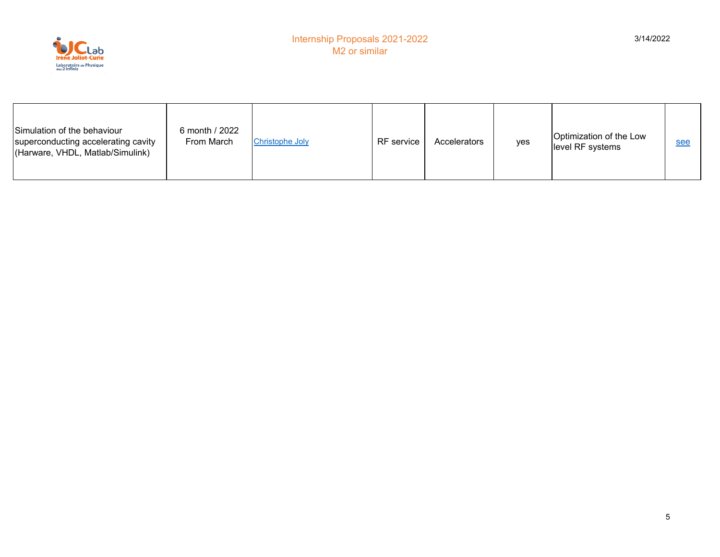

| Simulation of the behaviour<br>superconducting accelerating cavity<br>(Harware, VHDL, Matlab/Simulink) | 6 month / 2022<br>From March | <b>Christophe Joly</b> | <b>RF</b> service | Accelerators | yes | Optimization of the Low<br>level RF systems | see |
|--------------------------------------------------------------------------------------------------------|------------------------------|------------------------|-------------------|--------------|-----|---------------------------------------------|-----|
|--------------------------------------------------------------------------------------------------------|------------------------------|------------------------|-------------------|--------------|-----|---------------------------------------------|-----|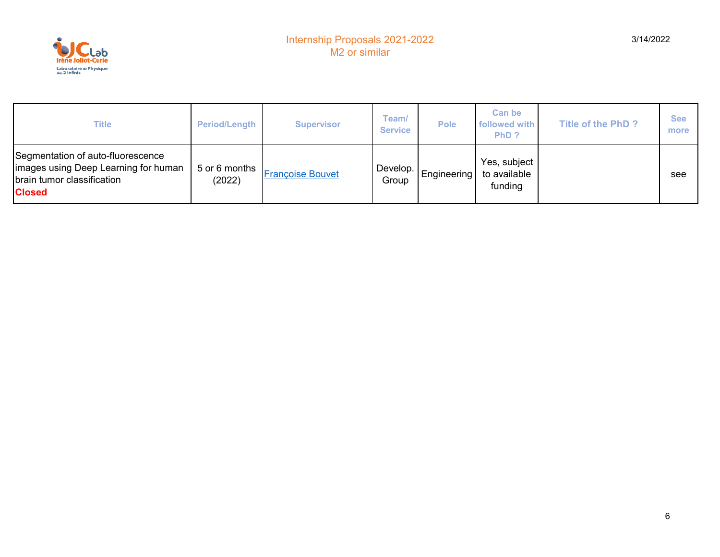

| <b>Title</b>                                                                                                              | <b>Period/Length</b>    | <b>Supervisor</b>       | Team/<br><b>Service</b> | <b>Pole</b> | <b>Can be</b><br>followed with<br>PhD?  | <b>Title of the PhD?</b> | <b>See</b><br>more |
|---------------------------------------------------------------------------------------------------------------------------|-------------------------|-------------------------|-------------------------|-------------|-----------------------------------------|--------------------------|--------------------|
| Segmentation of auto-fluorescence<br>limages using Deep Learning for human<br>brain tumor classification<br><b>Closed</b> | 5 or 6 months<br>(2022) | <b>Françoise Bouvet</b> | Develop.<br>Group       | Engineering | Yes, subject<br>to available<br>funding |                          | see                |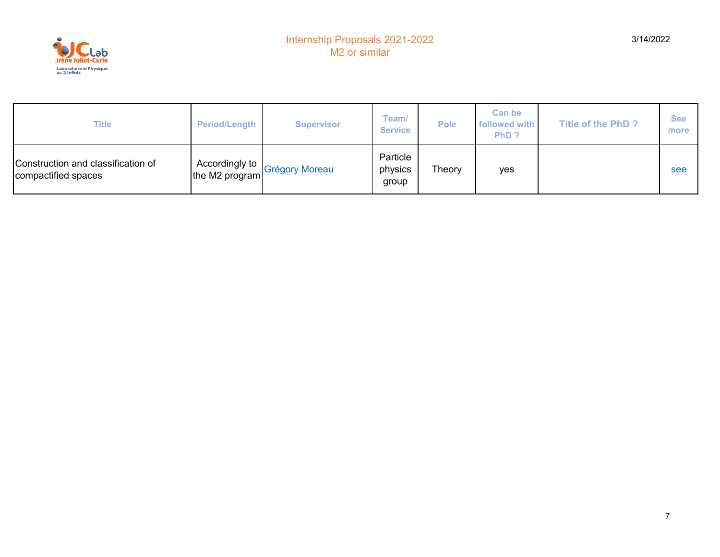

| Title                                                     | <b>Period/Length</b> | <b>Supervisor</b>                            | Team/<br><b>Service</b>      | <b>Pole</b> | Can be<br>followed with<br>PhD? | <b>Title of the PhD?</b> | <b>See</b><br>more |
|-----------------------------------------------------------|----------------------|----------------------------------------------|------------------------------|-------------|---------------------------------|--------------------------|--------------------|
| Construction and classification of<br>compactified spaces | Accordingly to       | ithe M2 program <mark>Grégory Moreau)</mark> | Particle<br>physics<br>group | Theory      | yes                             |                          | see                |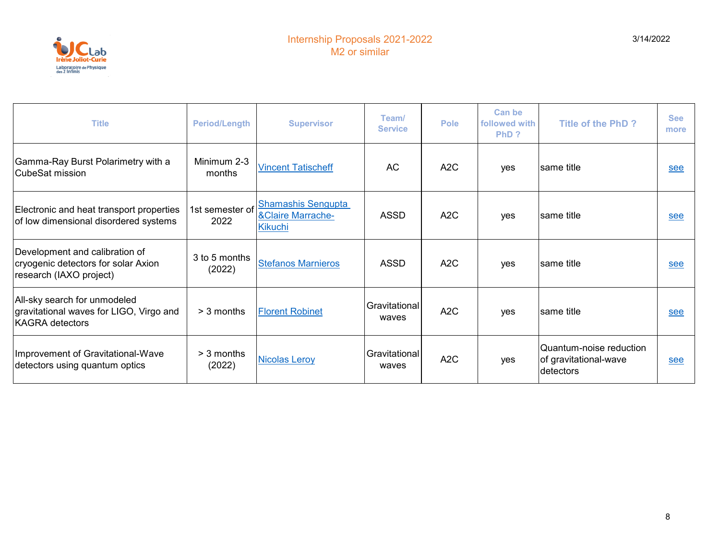

| <b>Title</b>                                                                                      | <b>Period/Length</b>    | <b>Supervisor</b>                                                           | Team/<br><b>Service</b> | <b>Pole</b>      | Can be<br>followed with<br>PhD? | <b>Title of the PhD?</b>                                      | <b>See</b><br>more |
|---------------------------------------------------------------------------------------------------|-------------------------|-----------------------------------------------------------------------------|-------------------------|------------------|---------------------------------|---------------------------------------------------------------|--------------------|
| Gamma-Ray Burst Polarimetry with a<br>CubeSat mission                                             | Minimum 2-3<br>months   | <b>Vincent Tatischeff</b>                                                   | <b>AC</b>               | A2C              | yes                             | Isame title                                                   | see                |
| Electronic and heat transport properties<br>of low dimensional disordered systems                 | 1st semester of<br>2022 | <b>Shamashis Sengupta</b><br><b>&amp;Claire Marrache-</b><br><b>Kikuchi</b> | <b>ASSD</b>             | A <sub>2</sub> C | yes                             | same title                                                    | see                |
| Development and calibration of<br>cryogenic detectors for solar Axion<br>research (IAXO project)  | 3 to 5 months<br>(2022) | <b>Stefanos Marnieros</b>                                                   | <b>ASSD</b>             | A <sub>2</sub> C | yes                             | Isame title                                                   | see                |
| All-sky search for unmodeled<br>gravitational waves for LIGO, Virgo and<br><b>KAGRA</b> detectors | $>$ 3 months            | <b>Florent Robinet</b>                                                      | Gravitational<br>waves  | A <sub>2</sub> C | yes                             | same title                                                    | see                |
| Improvement of Gravitational-Wave<br>detectors using quantum optics                               | $>$ 3 months<br>(2022)  | <b>Nicolas Leroy</b>                                                        | Gravitational<br>waves  | A <sub>2</sub> C | yes                             | Quantum-noise reduction<br>of gravitational-wave<br>detectors | see                |